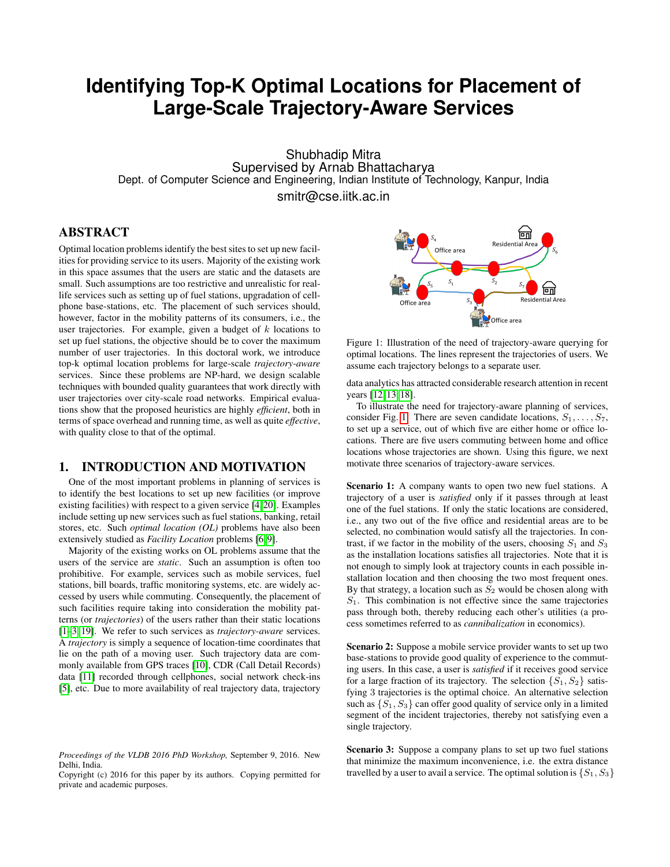# **Identifying Top-K Optimal Locations for Placement of Large-Scale Trajectory-Aware Services**

Shubhadip Mitra Supervised by Arnab Bhattacharya Dept. of Computer Science and Engineering, Indian Institute of Technology, Kanpur, India

smitr@cse.iitk.ac.in

# ABSTRACT

Optimal location problems identify the best sites to set up new facilities for providing service to its users. Majority of the existing work in this space assumes that the users are static and the datasets are small. Such assumptions are too restrictive and unrealistic for reallife services such as setting up of fuel stations, upgradation of cellphone base-stations, etc. The placement of such services should, however, factor in the mobility patterns of its consumers, i.e., the user trajectories. For example, given a budget of  $k$  locations to set up fuel stations, the objective should be to cover the maximum number of user trajectories. In this doctoral work, we introduce top-k optimal location problems for large-scale *trajectory-aware* services. Since these problems are NP-hard, we design scalable techniques with bounded quality guarantees that work directly with user trajectories over city-scale road networks. Empirical evaluations show that the proposed heuristics are highly *efficient*, both in terms of space overhead and running time, as well as quite *effective*, with quality close to that of the optimal.

# 1. INTRODUCTION AND MOTIVATION

One of the most important problems in planning of services is to identify the best locations to set up new facilities (or improve existing facilities) with respect to a given service [\[4,](#page-3-0) [20\]](#page-3-1). Examples include setting up new services such as fuel stations, banking, retail stores, etc. Such *optimal location (OL)* problems have also been extensively studied as *Facility Location* problems [\[6,](#page-3-2) [9\]](#page-3-3).

Majority of the existing works on OL problems assume that the users of the service are *static*. Such an assumption is often too prohibitive. For example, services such as mobile services, fuel stations, bill boards, traffic monitoring systems, etc. are widely accessed by users while commuting. Consequently, the placement of such facilities require taking into consideration the mobility patterns (or *trajectories*) of the users rather than their static locations [\[1](#page-3-4)[–3,](#page-3-5) [19\]](#page-3-6). We refer to such services as *trajectory-aware* services. A *trajectory* is simply a sequence of location-time coordinates that lie on the path of a moving user. Such trajectory data are commonly available from GPS traces [\[10\]](#page-3-7), CDR (Call Detail Records) data [\[11\]](#page-3-8) recorded through cellphones, social network check-ins [\[5\]](#page-3-9), etc. Due to more availability of real trajectory data, trajectory

<span id="page-0-0"></span>

Figure 1: Illustration of the need of trajectory-aware querying for optimal locations. The lines represent the trajectories of users. We assume each trajectory belongs to a separate user.

data analytics has attracted considerable research attention in recent years [\[12,](#page-3-10) [13,](#page-3-11) [18\]](#page-3-12).

To illustrate the need for trajectory-aware planning of services, consider Fig. [1.](#page-0-0) There are seven candidate locations,  $S_1, \ldots, S_7$ , to set up a service, out of which five are either home or office locations. There are five users commuting between home and office locations whose trajectories are shown. Using this figure, we next motivate three scenarios of trajectory-aware services.

Scenario 1: A company wants to open two new fuel stations. A trajectory of a user is *satisfied* only if it passes through at least one of the fuel stations. If only the static locations are considered, i.e., any two out of the five office and residential areas are to be selected, no combination would satisfy all the trajectories. In contrast, if we factor in the mobility of the users, choosing  $S_1$  and  $S_3$ as the installation locations satisfies all trajectories. Note that it is not enough to simply look at trajectory counts in each possible installation location and then choosing the two most frequent ones. By that strategy, a location such as  $S_2$  would be chosen along with  $S_1$ . This combination is not effective since the same trajectories pass through both, thereby reducing each other's utilities (a process sometimes referred to as *cannibalization* in economics).

Scenario 2: Suppose a mobile service provider wants to set up two base-stations to provide good quality of experience to the commuting users. In this case, a user is *satisfied* if it receives good service for a large fraction of its trajectory. The selection  $\{S_1, S_2\}$  satisfying 3 trajectories is the optimal choice. An alternative selection such as  $\{S_1, S_3\}$  can offer good quality of service only in a limited segment of the incident trajectories, thereby not satisfying even a single trajectory.

Scenario 3: Suppose a company plans to set up two fuel stations that minimize the maximum inconvenience, i.e. the extra distance travelled by a user to avail a service. The optimal solution is  $\{S_1, S_3\}$ 

*Proceedings of the VLDB 2016 PhD Workshop,* September 9, 2016. New Delhi, India.

Copyright (c) 2016 for this paper by its authors. Copying permitted for private and academic purposes.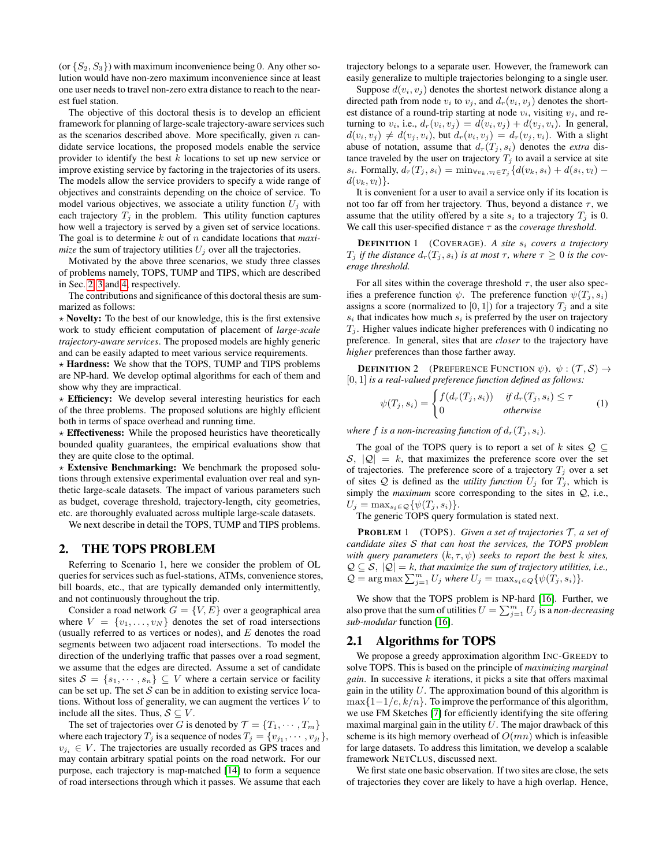(or  $\{S_2, S_3\}$ ) with maximum inconvenience being 0. Any other solution would have non-zero maximum inconvenience since at least one user needs to travel non-zero extra distance to reach to the nearest fuel station.

The objective of this doctoral thesis is to develop an efficient framework for planning of large-scale trajectory-aware services such as the scenarios described above. More specifically, given  $n$  candidate service locations, the proposed models enable the service provider to identify the best k locations to set up new service or improve existing service by factoring in the trajectories of its users. The models allow the service providers to specify a wide range of objectives and constraints depending on the choice of service. To model various objectives, we associate a utility function  $U_i$  with each trajectory  $T_j$  in the problem. This utility function captures how well a trajectory is served by a given set of service locations. The goal is to determine k out of n candidate locations that *maximize* the sum of trajectory utilities  $U_i$  over all the trajectories.

Motivated by the above three scenarios, we study three classes of problems namely, TOPS, TUMP and TIPS, which are described in Sec. [2,](#page-1-0) [3](#page-2-0) and [4,](#page-3-13) respectively.

The contributions and significance of this doctoral thesis are summarized as follows:

 $\star$  Novelty: To the best of our knowledge, this is the first extensive work to study efficient computation of placement of *large-scale trajectory-aware services*. The proposed models are highly generic and can be easily adapted to meet various service requirements.

 $\star$  **Hardness:** We show that the TOPS, TUMP and TIPS problems are NP-hard. We develop optimal algorithms for each of them and show why they are impractical.

 $\star$  Efficiency: We develop several interesting heuristics for each of the three problems. The proposed solutions are highly efficient both in terms of space overhead and running time.

 $\star$  **Effectiveness:** While the proposed heuristics have theoretically bounded quality guarantees, the empirical evaluations show that they are quite close to the optimal.

 $\star$  Extensive Benchmarking: We benchmark the proposed solutions through extensive experimental evaluation over real and synthetic large-scale datasets. The impact of various parameters such as budget, coverage threshold, trajectory-length, city geometries, etc. are thoroughly evaluated across multiple large-scale datasets.

We next describe in detail the TOPS, TUMP and TIPS problems.

## <span id="page-1-0"></span>2. THE TOPS PROBLEM

Referring to Scenario 1, here we consider the problem of OL queries for services such as fuel-stations, ATMs, convenience stores, bill boards, etc., that are typically demanded only intermittently, and not continuously throughout the trip.

Consider a road network  $G = \{V, E\}$  over a geographical area where  $V = \{v_1, \ldots, v_N\}$  denotes the set of road intersections (usually referred to as vertices or nodes), and  $E$  denotes the road segments between two adjacent road intersections. To model the direction of the underlying traffic that passes over a road segment, we assume that the edges are directed. Assume a set of candidate sites  $S = \{s_1, \dots, s_n\} \subseteq V$  where a certain service or facility can be set up. The set  $S$  can be in addition to existing service locations. Without loss of generality, we can augment the vertices  $V$  to include all the sites. Thus,  $S \subseteq V$ .

The set of trajectories over G is denoted by  $\mathcal{T} = \{T_1, \cdots, T_m\}$ where each trajectory  $T_j$  is a sequence of nodes  $T_j = \{v_{j_1}, \cdots, v_{j_l}\},$  $v_{i} \in V$ . The trajectories are usually recorded as GPS traces and may contain arbitrary spatial points on the road network. For our purpose, each trajectory is map-matched [\[14\]](#page-3-14) to form a sequence of road intersections through which it passes. We assume that each

trajectory belongs to a separate user. However, the framework can easily generalize to multiple trajectories belonging to a single user.

Suppose  $d(v_i, v_j)$  denotes the shortest network distance along a directed path from node  $v_i$  to  $v_j$ , and  $d_r(v_i, v_j)$  denotes the shortest distance of a round-trip starting at node  $v_i$ , visiting  $v_i$ , and returning to  $v_i$ , i.e.,  $d_r(v_i, v_j) = d(v_i, v_j) + d(v_j, v_i)$ . In general,  $d(v_i, v_j) \neq d(v_j, v_i)$ , but  $d_r(v_i, v_j) = d_r(v_j, v_i)$ . With a slight abuse of notation, assume that  $d_r(T_j, s_i)$  denotes the *extra* distance traveled by the user on trajectory  $T_j$  to avail a service at site s<sub>i</sub>. Formally,  $d_r(T_j, s_i) = \min_{\forall v_k, v_l \in T_j} \{ d(v_k, s_i) + d(s_i, v_l) - d(s_i, v_l) \}$  $d(v_k, v_l)$ .

It is convenient for a user to avail a service only if its location is not too far off from her trajectory. Thus, beyond a distance  $\tau$ , we assume that the utility offered by a site  $s_i$  to a trajectory  $T_i$  is 0. We call this user-specified distance  $\tau$  as the *coverage threshold*.

**DEFINITION 1** (COVERAGE). A site  $s_i$  covers a trajectory  $T_j$  *if the distance*  $d_r(T_j, s_i)$  *is at most*  $\tau$ *, where*  $\tau \geq 0$  *is the coverage threshold.*

For all sites within the coverage threshold  $\tau$ , the user also specifies a preference function  $\psi$ . The preference function  $\psi(T_j, s_i)$ assigns a score (normalized to  $[0, 1]$ ) for a trajectory  $T_j$  and a site  $s_i$  that indicates how much  $s_i$  is preferred by the user on trajectory  $T_i$ . Higher values indicate higher preferences with 0 indicating no preference. In general, sites that are *closer* to the trajectory have *higher* preferences than those farther away.

**DEFINITION** 2 (PREFERENCE FUNCTION  $\psi$ ).  $\psi : (\mathcal{T}, \mathcal{S}) \rightarrow$ [0, 1] *is a real-valued preference function defined as follows:*

$$
\psi(T_j, s_i) = \begin{cases} f(d_r(T_j, s_i)) & \text{if } d_r(T_j, s_i) \le \tau \\ 0 & \text{otherwise} \end{cases} \tag{1}
$$

*where* f *is a non-increasing function of*  $d_r(T_i, s_i)$ *.* 

The goal of the TOPS query is to report a set of k sites  $Q \subseteq$  $S, |Q| = k$ , that maximizes the preference score over the set of trajectories. The preference score of a trajectory  $T_j$  over a set of sites  $Q$  is defined as the *utility function*  $U_j$  for  $T_j$ , which is simply the *maximum* score corresponding to the sites in Q, i.e.,  $U_j = \max_{s_i \in \mathcal{Q}} \{ \psi(T_j, s_i) \}.$ 

The generic TOPS query formulation is stated next.

**PROBLEM** 1 (TOPS). *Given a set of trajectories*  $\mathcal{T}$ *, a set of candidate sites* S *that can host the services, the TOPS problem with query parameters*  $(k, \tau, \psi)$  *seeks to report the best k sites,*  $\mathcal{Q} \subseteq \mathcal{S}, |\mathcal{Q}| = k$ , that maximize the sum of trajectory utilities, i.e.,  $Q = \arg \max \sum_{j=1}^{m} U_j$  where  $U_j = \max_{s_i \in Q} {\psi(T_j, s_i)}$ .

We show that the TOPS problem is NP-hard [\[16\]](#page-3-15). Further, we also prove that the sum of utilities  $U = \sum_{j=1}^{m} U_j$  is a *non-decreasing sub-modular* function [\[16\]](#page-3-15).

### 2.1 Algorithms for TOPS

We propose a greedy approximation algorithm INC-GREEDY to solve TOPS. This is based on the principle of *maximizing marginal gain*. In successive  $k$  iterations, it picks a site that offers maximal gain in the utility  $U$ . The approximation bound of this algorithm is  $\max\{1-1/e, k/n\}$ . To improve the performance of this algorithm, we use FM Sketches [\[7\]](#page-3-16) for efficiently identifying the site offering maximal marginal gain in the utility  $U$ . The major drawback of this scheme is its high memory overhead of  $O(mn)$  which is infeasible for large datasets. To address this limitation, we develop a scalable framework NETCLUS, discussed next.

We first state one basic observation. If two sites are close, the sets of trajectories they cover are likely to have a high overlap. Hence,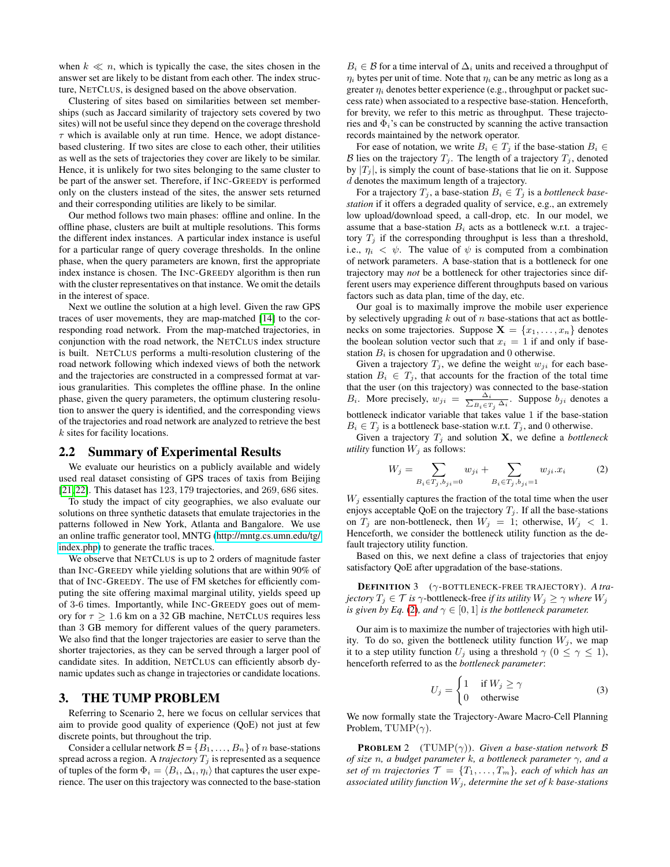when  $k \ll n$ , which is typically the case, the sites chosen in the answer set are likely to be distant from each other. The index structure, NETCLUS, is designed based on the above observation.

Clustering of sites based on similarities between set memberships (such as Jaccard similarity of trajectory sets covered by two sites) will not be useful since they depend on the coverage threshold  $\tau$  which is available only at run time. Hence, we adopt distancebased clustering. If two sites are close to each other, their utilities as well as the sets of trajectories they cover are likely to be similar. Hence, it is unlikely for two sites belonging to the same cluster to be part of the answer set. Therefore, if INC-GREEDY is performed only on the clusters instead of the sites, the answer sets returned and their corresponding utilities are likely to be similar.

Our method follows two main phases: offline and online. In the offline phase, clusters are built at multiple resolutions. This forms the different index instances. A particular index instance is useful for a particular range of query coverage thresholds. In the online phase, when the query parameters are known, first the appropriate index instance is chosen. The INC-GREEDY algorithm is then run with the cluster representatives on that instance. We omit the details in the interest of space.

Next we outline the solution at a high level. Given the raw GPS traces of user movements, they are map-matched [\[14\]](#page-3-14) to the corresponding road network. From the map-matched trajectories, in conjunction with the road network, the NETCLUS index structure is built. NETCLUS performs a multi-resolution clustering of the road network following which indexed views of both the network and the trajectories are constructed in a compressed format at various granularities. This completes the offline phase. In the online phase, given the query parameters, the optimum clustering resolution to answer the query is identified, and the corresponding views of the trajectories and road network are analyzed to retrieve the best k sites for facility locations.

#### 2.2 Summary of Experimental Results

We evaluate our heuristics on a publicly available and widely used real dataset consisting of GPS traces of taxis from Beijing [\[21,](#page-3-17) [22\]](#page-3-18). This dataset has 123, 179 trajectories, and 269, 686 sites.

To study the impact of city geographies, we also evaluate our solutions on three synthetic datasets that emulate trajectories in the patterns followed in New York, Atlanta and Bangalore. We use an online traffic generator tool, MNTG [\(http://mntg.cs.umn.edu/tg/](http://mntg.cs.umn.edu/tg/index.php) [index.php\)](http://mntg.cs.umn.edu/tg/index.php) to generate the traffic traces.

We observe that NETCLUS is up to 2 orders of magnitude faster than INC-GREEDY while yielding solutions that are within 90% of that of INC-GREEDY. The use of FM sketches for efficiently computing the site offering maximal marginal utility, yields speed up of 3-6 times. Importantly, while INC-GREEDY goes out of memory for  $\tau > 1.6$  km on a 32 GB machine, NETCLUS requires less than 3 GB memory for different values of the query parameters. We also find that the longer trajectories are easier to serve than the shorter trajectories, as they can be served through a larger pool of candidate sites. In addition, NETCLUS can efficiently absorb dynamic updates such as change in trajectories or candidate locations.

# <span id="page-2-0"></span>3. THE TUMP PROBLEM

Referring to Scenario 2, here we focus on cellular services that aim to provide good quality of experience (QoE) not just at few discrete points, but throughout the trip.

Consider a cellular network  $\mathcal{B} = \{B_1, \ldots, B_n\}$  of n base-stations spread across a region. A *trajectory*  $T_j$  is represented as a sequence of tuples of the form  $\Phi_i = \langle B_i, \Delta_i, \eta_i \rangle$  that captures the user experience. The user on this trajectory was connected to the base-station

 $B_i \in \mathcal{B}$  for a time interval of  $\Delta_i$  units and received a throughput of  $\eta_i$  bytes per unit of time. Note that  $\eta_i$  can be any metric as long as a greater  $\eta_i$  denotes better experience (e.g., throughput or packet success rate) when associated to a respective base-station. Henceforth, for brevity, we refer to this metric as throughput. These trajectories and  $\Phi_i$ 's can be constructed by scanning the active transaction records maintained by the network operator.

For ease of notation, we write  $B_i \in T_i$  if the base-station  $B_i \in$ B lies on the trajectory  $T_i$ . The length of a trajectory  $T_i$ , denoted by  $|T_i|$ , is simply the count of base-stations that lie on it. Suppose d denotes the maximum length of a trajectory.

For a trajectory  $T_j$ , a base-station  $B_i \in T_j$  is a *bottleneck basestation* if it offers a degraded quality of service, e.g., an extremely low upload/download speed, a call-drop, etc. In our model, we assume that a base-station  $B_i$  acts as a bottleneck w.r.t. a trajectory  $T_i$  if the corresponding throughput is less than a threshold, i.e.,  $\eta_i < \psi$ . The value of  $\psi$  is computed from a combination of network parameters. A base-station that is a bottleneck for one trajectory may *not* be a bottleneck for other trajectories since different users may experience different throughputs based on various factors such as data plan, time of the day, etc.

Our goal is to maximally improve the mobile user experience by selectively upgrading  $k$  out of  $n$  base-stations that act as bottlenecks on some trajectories. Suppose  $X = \{x_1, \ldots, x_n\}$  denotes the boolean solution vector such that  $x_i = 1$  if and only if basestation  $B_i$  is chosen for upgradation and 0 otherwise.

Given a trajectory  $T_j$ , we define the weight  $w_{ji}$  for each basestation  $B_i \in T_j$ , that accounts for the fraction of the total time that the user (on this trajectory) was connected to the base-station  $B_i$ . More precisely,  $w_{ji} = \frac{\Delta_i}{\sum_{B_i \in T_j} \Delta_i}$ . Suppose  $b_{ji}$  denotes a bottleneck indicator variable that takes value 1 if the base-station  $B_i \in T_j$  is a bottleneck base-station w.r.t.  $T_j$ , and 0 otherwise.

Given a trajectory  $T_i$  and solution **X**, we define a *bottleneck utility* function  $W_i$  as follows:

<span id="page-2-1"></span>
$$
W_j = \sum_{B_i \in T_j, b_{ji} = 0} w_{ji} + \sum_{B_i \in T_j, b_{ji} = 1} w_{ji} x_i
$$
 (2)

 $W_j$  essentially captures the fraction of the total time when the user enjoys acceptable QoE on the trajectory  $T_j$ . If all the base-stations on  $T_j$  are non-bottleneck, then  $W_j = 1$ ; otherwise,  $W_j < 1$ . Henceforth, we consider the bottleneck utility function as the default trajectory utility function.

Based on this, we next define a class of trajectories that enjoy satisfactory QoE after upgradation of the base-stations.

DEFINITION 3 (γ-BOTTLENECK-FREE TRAJECTORY). *A trajectory*  $T_j \in \mathcal{T}$  *is*  $\gamma$ -bottleneck-free *if its utility*  $W_j \geq \gamma$  *where*  $W_j$ *is given by Eq.* [\(2\)](#page-2-1)*, and*  $\gamma \in [0, 1]$  *is the bottleneck parameter.* 

Our aim is to maximize the number of trajectories with high utility. To do so, given the bottleneck utility function  $W_i$ , we map it to a step utility function  $U_i$  using a threshold  $\gamma$  ( $0 \leq \gamma \leq 1$ ), henceforth referred to as the *bottleneck parameter*:

<span id="page-2-2"></span>
$$
U_j = \begin{cases} 1 & \text{if } W_j \ge \gamma \\ 0 & \text{otherwise} \end{cases}
$$
 (3)

We now formally state the Trajectory-Aware Macro-Cell Planning Problem, TUMP( $\gamma$ ).

**PROBLEM** 2 (TUMP $(\gamma)$ ). *Given a base-station network*  $\beta$ *of size* n*, a budget parameter* k*, a bottleneck parameter* γ*, and a set of m trajectories*  $\mathcal{T} = \{T_1, \ldots, T_m\}$ *, each of which has an associated utility function*  $W_j$ *, determine the set of k base-stations*